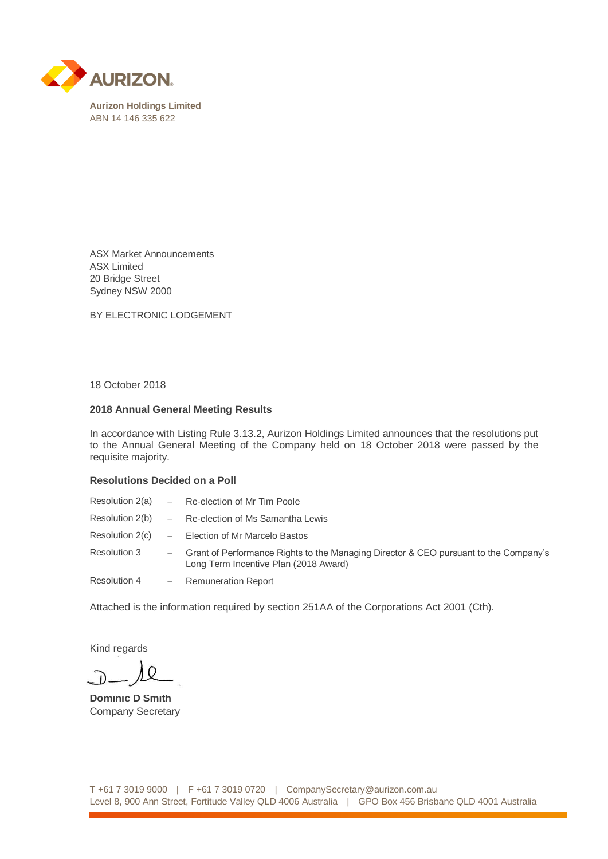

ASX Market Announcements ASX Limited 20 Bridge Street Sydney NSW 2000

BY ELECTRONIC LODGEMENT

18 October 2018

## **2018 Annual General Meeting Results**

In accordance with Listing Rule 3.13.2, Aurizon Holdings Limited announces that the resolutions put to the Annual General Meeting of the Company held on 18 October 2018 were passed by the requisite majority.

## **Resolutions Decided on a Poll**

|                 | Resolution $2(a)$ - Re-election of Mr Tim Poole                                                                                 |
|-----------------|---------------------------------------------------------------------------------------------------------------------------------|
| Resolution 2(b) | - Re-election of Ms Samantha Lewis                                                                                              |
| Resolution 2(c) | - Election of Mr Marcelo Bastos                                                                                                 |
| Resolution 3    | - Grant of Performance Rights to the Managing Director & CEO pursuant to the Company's<br>Long Term Incentive Plan (2018 Award) |
| Resolution 4    | - Remuneration Report                                                                                                           |

Attached is the information required by section 251AA of the Corporations Act 2001 (Cth).

Kind regards

**Dominic D Smith** Company Secretary